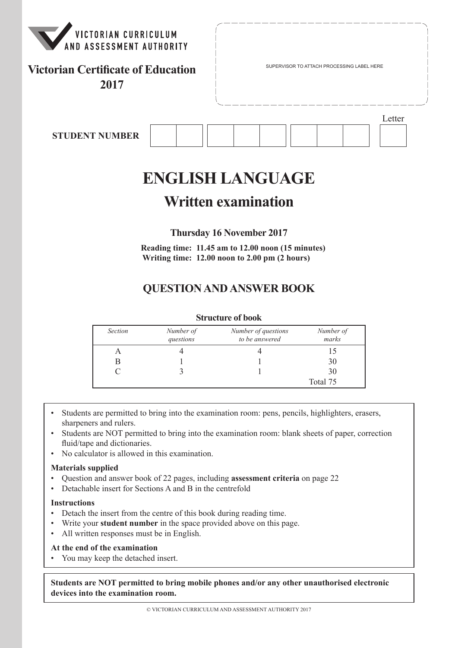

## **Victorian Certificate of Education 2017**

Letter

**STUDENT NUMBER**

# **ENGLISH LANGUAGE**

## **Written examination**

**Thursday 16 November 2017**

**Reading time: 11.45 am to 12.00 noon (15 minutes) Writing time: 12.00 noon to 2.00 pm (2 hours)**

## **QUESTION AND ANSWER BOOK**

#### **Structure of book**

| <b>Section</b> | Number of<br>questions | Number of questions<br>to be answered | Number of<br>marks |
|----------------|------------------------|---------------------------------------|--------------------|
|                |                        |                                       |                    |
|                |                        |                                       | 30                 |
|                |                        |                                       | 30                 |
|                |                        |                                       | Total 75           |

- Students are permitted to bring into the examination room: pens, pencils, highlighters, erasers, sharpeners and rulers.
- Students are NOT permitted to bring into the examination room: blank sheets of paper, correction fluid/tape and dictionaries.
- No calculator is allowed in this examination.

#### **Materials supplied**

- Question and answer book of 22 pages, including **assessment criteria** on page 22
- Detachable insert for Sections A and B in the centrefold

#### **Instructions**

- Detach the insert from the centre of this book during reading time.
- Write your **student number** in the space provided above on this page.
- All written responses must be in English.

#### **At the end of the examination**

• You may keep the detached insert.

**Students are NOT permitted to bring mobile phones and/or any other unauthorised electronic devices into the examination room.**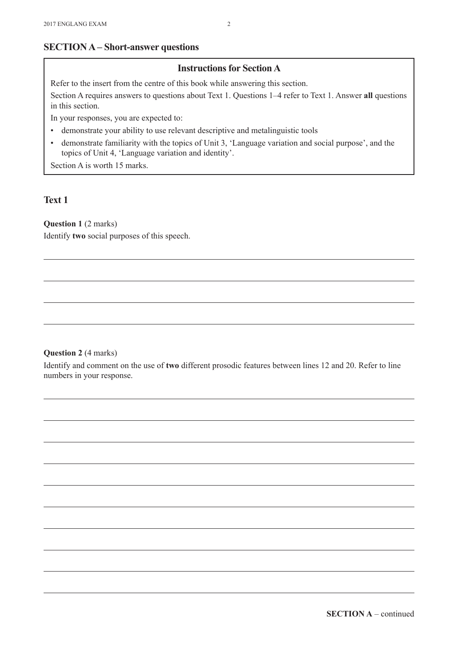## **SECTION A – Short-answer questions**

## **Instructions for Section A**

Refer to the insert from the centre of this book while answering this section.

Section A requires answers to questions about Text 1. Questions 1–4 refer to Text 1. Answer **all** questions in this section.

In your responses, you are expected to:

- demonstrate your ability to use relevant descriptive and metalinguistic tools
- • demonstrate familiarity with the topics of Unit 3, 'Language variation and social purpose', and the topics of Unit 4, 'Language variation and identity'.

Section A is worth 15 marks.

## **Text 1**

**Question 1 (2 marks)** 

Identify **two** social purposes of this speech.

#### **Question 2** (4 marks)

Identify and comment on the use of **two** different prosodic features between lines 12 and 20. Refer to line numbers in your response.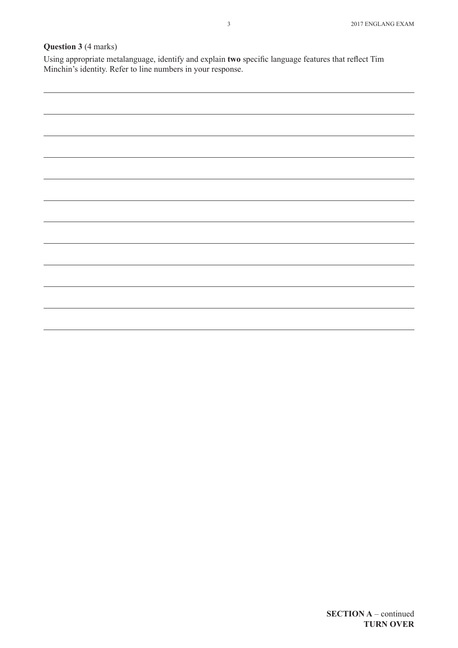## **Question 3** (4 marks)

Using appropriate metalanguage, identify and explain **two** specific language features that reflect Tim Minchin's identity. Refer to line numbers in your response.

| <u> 1989 - Andrea Barbara, Amerikaansk politik (* 1989)</u> |
|-------------------------------------------------------------|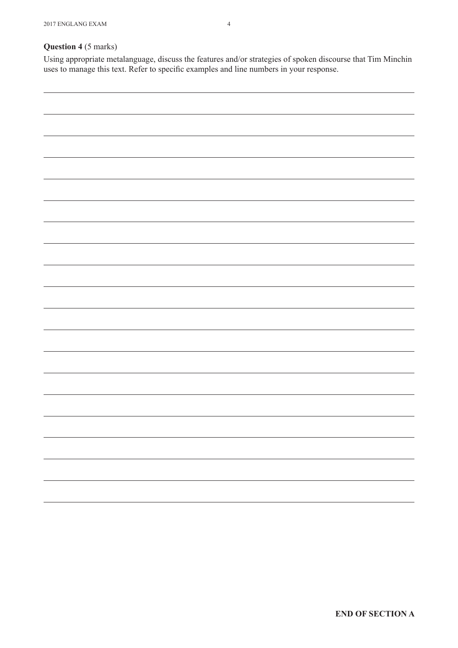Using appropriate metalanguage, discuss the features and/or strategies of spoken discourse that Tim Minchin uses to manage this text. Refer to specific examples and line numbers in your response.

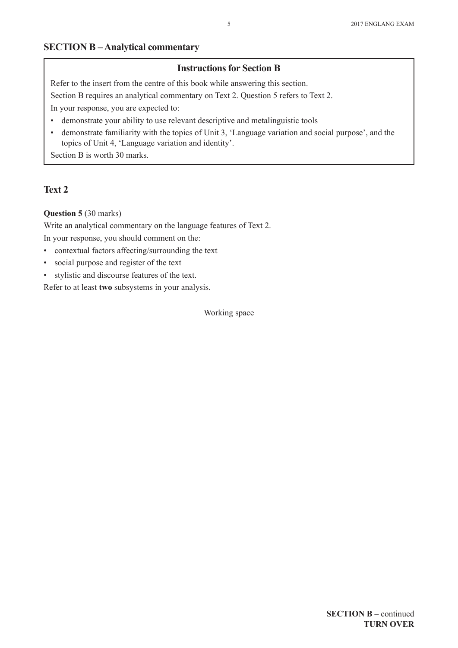## **SECTION B – Analytical commentary**

#### **Instructions for Section B**

Refer to the insert from the centre of this book while answering this section.

Section B requires an analytical commentary on Text 2. Question 5 refers to Text 2.

In your response, you are expected to:

- demonstrate your ability to use relevant descriptive and metalinguistic tools
- • demonstrate familiarity with the topics of Unit 3, 'Language variation and social purpose', and the topics of Unit 4, 'Language variation and identity'.

Section B is worth 30 marks.

## **Text 2**

#### **Question 5** (30 marks)

Write an analytical commentary on the language features of Text 2. In your response, you should comment on the:

- • contextual factors affecting/surrounding the text
- • social purpose and register of the text
- • stylistic and discourse features of the text.

Refer to at least **two** subsystems in your analysis.

Working space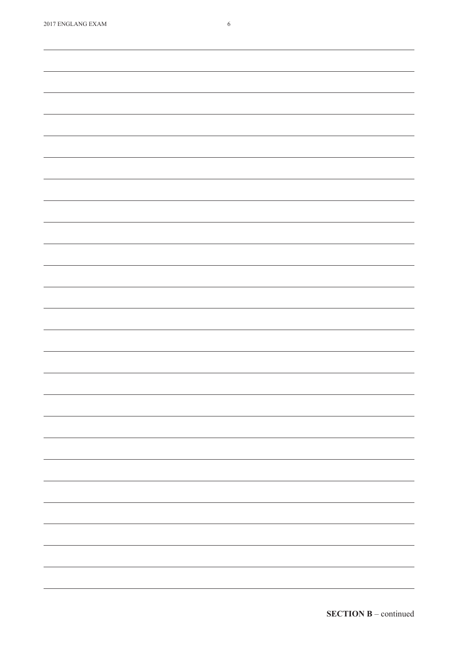| 2017 ENGLANG EXAM | 6                                                                                                                                                                                                                                                                                                                                                                                                                                                                          |
|-------------------|----------------------------------------------------------------------------------------------------------------------------------------------------------------------------------------------------------------------------------------------------------------------------------------------------------------------------------------------------------------------------------------------------------------------------------------------------------------------------|
|                   |                                                                                                                                                                                                                                                                                                                                                                                                                                                                            |
|                   |                                                                                                                                                                                                                                                                                                                                                                                                                                                                            |
|                   |                                                                                                                                                                                                                                                                                                                                                                                                                                                                            |
|                   |                                                                                                                                                                                                                                                                                                                                                                                                                                                                            |
|                   |                                                                                                                                                                                                                                                                                                                                                                                                                                                                            |
|                   |                                                                                                                                                                                                                                                                                                                                                                                                                                                                            |
|                   |                                                                                                                                                                                                                                                                                                                                                                                                                                                                            |
|                   |                                                                                                                                                                                                                                                                                                                                                                                                                                                                            |
|                   |                                                                                                                                                                                                                                                                                                                                                                                                                                                                            |
|                   |                                                                                                                                                                                                                                                                                                                                                                                                                                                                            |
|                   |                                                                                                                                                                                                                                                                                                                                                                                                                                                                            |
|                   |                                                                                                                                                                                                                                                                                                                                                                                                                                                                            |
|                   |                                                                                                                                                                                                                                                                                                                                                                                                                                                                            |
|                   |                                                                                                                                                                                                                                                                                                                                                                                                                                                                            |
|                   |                                                                                                                                                                                                                                                                                                                                                                                                                                                                            |
|                   |                                                                                                                                                                                                                                                                                                                                                                                                                                                                            |
|                   |                                                                                                                                                                                                                                                                                                                                                                                                                                                                            |
|                   |                                                                                                                                                                                                                                                                                                                                                                                                                                                                            |
|                   |                                                                                                                                                                                                                                                                                                                                                                                                                                                                            |
|                   |                                                                                                                                                                                                                                                                                                                                                                                                                                                                            |
|                   |                                                                                                                                                                                                                                                                                                                                                                                                                                                                            |
|                   |                                                                                                                                                                                                                                                                                                                                                                                                                                                                            |
|                   |                                                                                                                                                                                                                                                                                                                                                                                                                                                                            |
|                   |                                                                                                                                                                                                                                                                                                                                                                                                                                                                            |
|                   |                                                                                                                                                                                                                                                                                                                                                                                                                                                                            |
|                   |                                                                                                                                                                                                                                                                                                                                                                                                                                                                            |
|                   |                                                                                                                                                                                                                                                                                                                                                                                                                                                                            |
|                   |                                                                                                                                                                                                                                                                                                                                                                                                                                                                            |
|                   |                                                                                                                                                                                                                                                                                                                                                                                                                                                                            |
|                   |                                                                                                                                                                                                                                                                                                                                                                                                                                                                            |
|                   |                                                                                                                                                                                                                                                                                                                                                                                                                                                                            |
|                   |                                                                                                                                                                                                                                                                                                                                                                                                                                                                            |
|                   |                                                                                                                                                                                                                                                                                                                                                                                                                                                                            |
|                   |                                                                                                                                                                                                                                                                                                                                                                                                                                                                            |
|                   |                                                                                                                                                                                                                                                                                                                                                                                                                                                                            |
|                   |                                                                                                                                                                                                                                                                                                                                                                                                                                                                            |
|                   |                                                                                                                                                                                                                                                                                                                                                                                                                                                                            |
|                   | -                                                                                                                                                                                                                                                                                                                                                                                                                                                                          |
|                   |                                                                                                                                                                                                                                                                                                                                                                                                                                                                            |
|                   |                                                                                                                                                                                                                                                                                                                                                                                                                                                                            |
|                   | $\frac{1}{2} \left( \frac{1}{2} \right) \left( \frac{1}{2} \right) \left( \frac{1}{2} \right) \left( \frac{1}{2} \right) \left( \frac{1}{2} \right) \left( \frac{1}{2} \right) \left( \frac{1}{2} \right) \left( \frac{1}{2} \right) \left( \frac{1}{2} \right) \left( \frac{1}{2} \right) \left( \frac{1}{2} \right) \left( \frac{1}{2} \right) \left( \frac{1}{2} \right) \left( \frac{1}{2} \right) \left( \frac{1}{2} \right) \left( \frac{1}{2} \right) \left( \frac$ |
|                   |                                                                                                                                                                                                                                                                                                                                                                                                                                                                            |
|                   |                                                                                                                                                                                                                                                                                                                                                                                                                                                                            |
|                   |                                                                                                                                                                                                                                                                                                                                                                                                                                                                            |
|                   |                                                                                                                                                                                                                                                                                                                                                                                                                                                                            |
|                   |                                                                                                                                                                                                                                                                                                                                                                                                                                                                            |
|                   | $\overline{\phantom{0}}$                                                                                                                                                                                                                                                                                                                                                                                                                                                   |
|                   |                                                                                                                                                                                                                                                                                                                                                                                                                                                                            |
|                   |                                                                                                                                                                                                                                                                                                                                                                                                                                                                            |
|                   |                                                                                                                                                                                                                                                                                                                                                                                                                                                                            |
|                   |                                                                                                                                                                                                                                                                                                                                                                                                                                                                            |
|                   |                                                                                                                                                                                                                                                                                                                                                                                                                                                                            |
|                   | $\overline{\phantom{0}}$                                                                                                                                                                                                                                                                                                                                                                                                                                                   |
|                   |                                                                                                                                                                                                                                                                                                                                                                                                                                                                            |
|                   |                                                                                                                                                                                                                                                                                                                                                                                                                                                                            |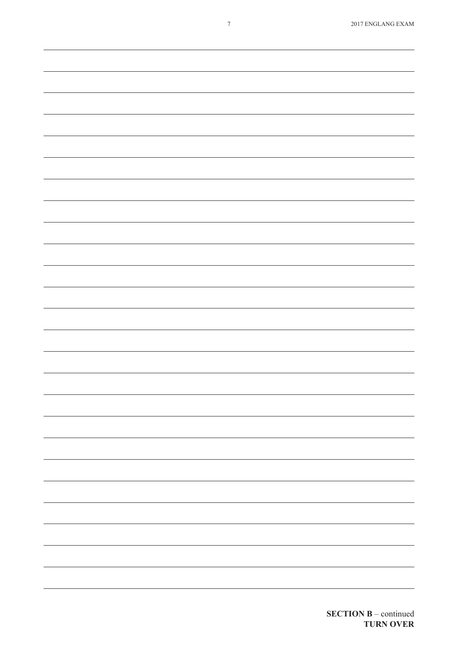| $\frac{1}{2} \left( \frac{1}{2} \right) \left( \frac{1}{2} \right) \left( \frac{1}{2} \right) \left( \frac{1}{2} \right) \left( \frac{1}{2} \right) \left( \frac{1}{2} \right) \left( \frac{1}{2} \right) \left( \frac{1}{2} \right) \left( \frac{1}{2} \right) \left( \frac{1}{2} \right) \left( \frac{1}{2} \right) \left( \frac{1}{2} \right) \left( \frac{1}{2} \right) \left( \frac{1}{2} \right) \left( \frac{1}{2} \right) \left( \frac{1}{2} \right) \left( \frac$ |
|----------------------------------------------------------------------------------------------------------------------------------------------------------------------------------------------------------------------------------------------------------------------------------------------------------------------------------------------------------------------------------------------------------------------------------------------------------------------------|
|                                                                                                                                                                                                                                                                                                                                                                                                                                                                            |
|                                                                                                                                                                                                                                                                                                                                                                                                                                                                            |
|                                                                                                                                                                                                                                                                                                                                                                                                                                                                            |
|                                                                                                                                                                                                                                                                                                                                                                                                                                                                            |
|                                                                                                                                                                                                                                                                                                                                                                                                                                                                            |
|                                                                                                                                                                                                                                                                                                                                                                                                                                                                            |
|                                                                                                                                                                                                                                                                                                                                                                                                                                                                            |
|                                                                                                                                                                                                                                                                                                                                                                                                                                                                            |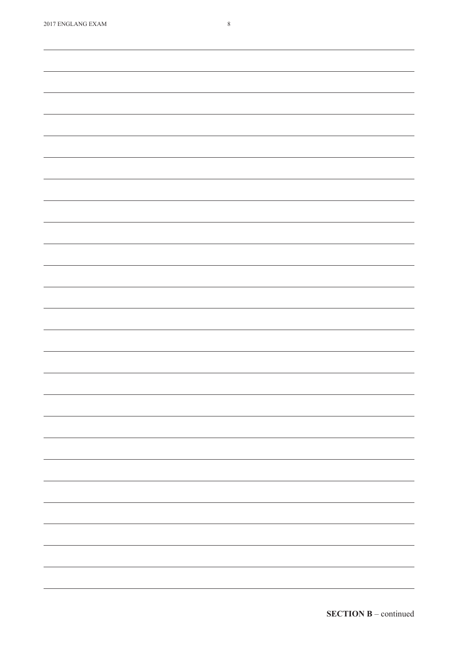| 2017 ENGLANG EXAM | $\,$ 8 $\,$ |
|-------------------|-------------|
|                   |             |
|                   |             |
|                   |             |
|                   |             |
|                   |             |
|                   |             |
|                   |             |
|                   |             |
|                   |             |
|                   |             |
|                   |             |
|                   |             |
|                   |             |
|                   |             |
|                   |             |
|                   |             |
|                   |             |
|                   |             |
|                   |             |
|                   |             |
|                   |             |
|                   |             |
|                   |             |
|                   |             |
|                   |             |
|                   |             |
|                   |             |
|                   |             |
|                   |             |
|                   |             |
|                   |             |
|                   |             |
|                   |             |
|                   |             |
|                   |             |
|                   |             |
|                   |             |
|                   |             |
|                   |             |
|                   |             |
|                   | —           |
|                   |             |
|                   | -           |
|                   |             |
|                   |             |
|                   |             |
|                   |             |
|                   | —           |
|                   |             |
|                   | -           |
|                   |             |
|                   |             |
|                   |             |
|                   | —           |
|                   |             |
|                   | -           |
|                   |             |
|                   |             |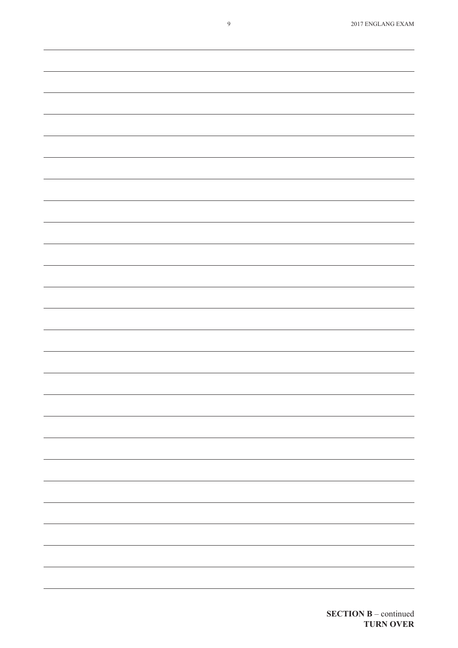|  |  |  | 2017 ENGLANG EXAM |
|--|--|--|-------------------|
|--|--|--|-------------------|

| <u> 1989 - Andrea Santana, Amerikaansk politiker (* 1989)</u>                                                         |  |  |
|-----------------------------------------------------------------------------------------------------------------------|--|--|
|                                                                                                                       |  |  |
|                                                                                                                       |  |  |
| <u> 1989 - Anna Maria Alemania, amerikan menyebagi bagian di sebagai bagian di sebagai bagian di sebagai bagian d</u> |  |  |
|                                                                                                                       |  |  |
|                                                                                                                       |  |  |
|                                                                                                                       |  |  |
|                                                                                                                       |  |  |
|                                                                                                                       |  |  |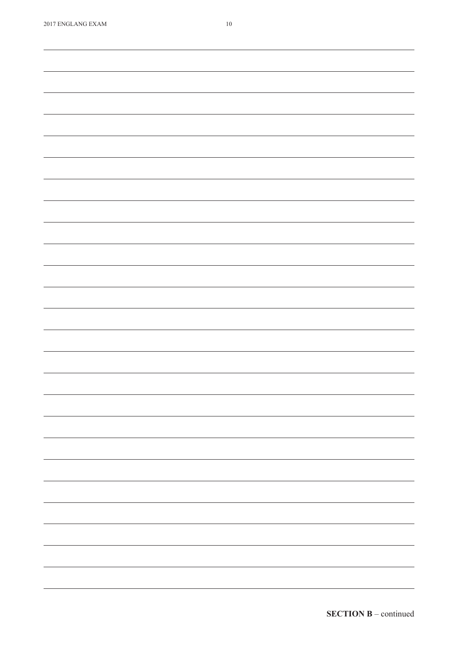| 2017 ENGLANG EXAM | $10\,$ |
|-------------------|--------|
|                   |        |
|                   |        |
|                   |        |
|                   |        |
|                   |        |
|                   |        |
|                   |        |
|                   |        |
|                   |        |
|                   |        |
|                   |        |
|                   |        |
|                   |        |
|                   |        |
|                   |        |
|                   |        |
|                   |        |
|                   |        |
|                   |        |
|                   |        |
|                   |        |
|                   |        |
|                   |        |
|                   |        |
|                   |        |
|                   |        |
|                   |        |
|                   |        |
|                   |        |
|                   |        |
|                   |        |
|                   |        |
|                   |        |
|                   |        |
|                   |        |
|                   |        |
|                   |        |
|                   |        |
|                   |        |
|                   |        |
|                   |        |
|                   |        |
|                   |        |
|                   |        |
|                   |        |
|                   |        |
|                   |        |
|                   |        |
|                   |        |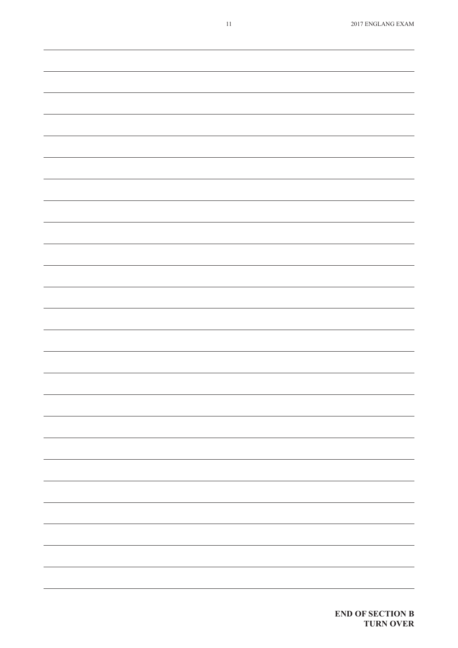| Ξ.                       |
|--------------------------|
|                          |
|                          |
|                          |
| -                        |
|                          |
|                          |
|                          |
|                          |
| -                        |
| ÷.                       |
|                          |
|                          |
|                          |
| -                        |
| $\overline{\phantom{0}}$ |
|                          |
|                          |
|                          |
|                          |
|                          |
|                          |
|                          |
|                          |
|                          |
|                          |
|                          |
|                          |
|                          |
|                          |
|                          |
|                          |
|                          |
|                          |
|                          |
|                          |
|                          |
|                          |
|                          |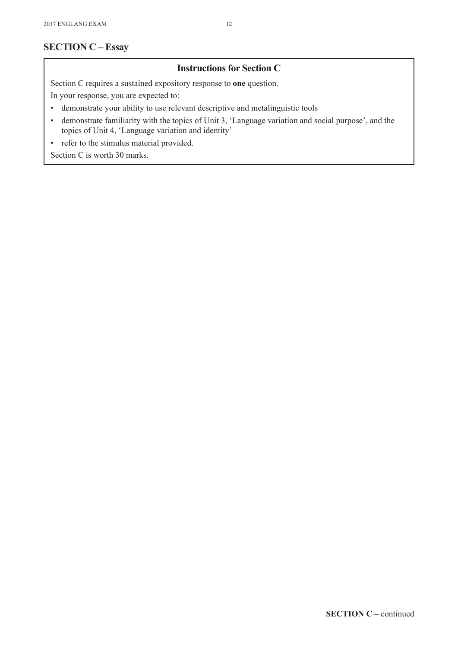## **SECTION C – Essay**

## **Instructions for Section C**

Section C requires a sustained expository response to **one** question.

In your response, you are expected to:

- • demonstrate your ability to use relevant descriptive and metalinguistic tools
- • demonstrate familiarity with the topics of Unit 3, 'Language variation and social purpose', and the topics of Unit 4, 'Language variation and identity'
- • refer to the stimulus material provided.

Section C is worth 30 marks.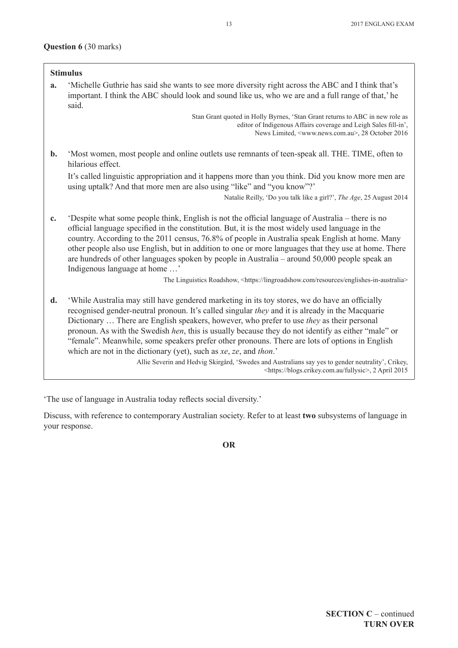|                | <b>Stimulus</b>                                                                                                                                                                                                                                                                                                                                                                                                                                                                                                                                                                                                                                                                                                                                        |
|----------------|--------------------------------------------------------------------------------------------------------------------------------------------------------------------------------------------------------------------------------------------------------------------------------------------------------------------------------------------------------------------------------------------------------------------------------------------------------------------------------------------------------------------------------------------------------------------------------------------------------------------------------------------------------------------------------------------------------------------------------------------------------|
| a.             | 'Michelle Guthrie has said she wants to see more diversity right across the ABC and I think that's<br>important. I think the ABC should look and sound like us, who we are and a full range of that,' he<br>said.                                                                                                                                                                                                                                                                                                                                                                                                                                                                                                                                      |
|                | Stan Grant quoted in Holly Byrnes, 'Stan Grant returns to ABC in new role as<br>editor of Indigenous Affairs coverage and Leigh Sales fill-in',<br>News Limited, <www.news.com.au>, 28 October 2016</www.news.com.au>                                                                                                                                                                                                                                                                                                                                                                                                                                                                                                                                  |
| $\mathbf{b}$ . | 'Most women, most people and online outlets use remnants of teen-speak all. THE. TIME, often to<br>hilarious effect.                                                                                                                                                                                                                                                                                                                                                                                                                                                                                                                                                                                                                                   |
|                | It's called linguistic appropriation and it happens more than you think. Did you know more men are<br>using uptalk? And that more men are also using "like" and "you know"?'                                                                                                                                                                                                                                                                                                                                                                                                                                                                                                                                                                           |
|                | Natalie Reilly, 'Do you talk like a girl?', The Age, 25 August 2014                                                                                                                                                                                                                                                                                                                                                                                                                                                                                                                                                                                                                                                                                    |
| c.             | 'Despite what some people think, English is not the official language of Australia – there is no<br>official language specified in the constitution. But, it is the most widely used language in the<br>country. According to the 2011 census, 76.8% of people in Australia speak English at home. Many<br>other people also use English, but in addition to one or more languages that they use at home. There<br>are hundreds of other languages spoken by people in Australia - around 50,000 people speak an<br>Indigenous language at home '<br>The Linguistics Roadshow, <https: englishes-in-australia="" lingroadshow.com="" resources=""></https:>                                                                                            |
| d.             | 'While Australia may still have gendered marketing in its toy stores, we do have an officially<br>recognised gender-neutral pronoun. It's called singular they and it is already in the Macquarie<br>Dictionary  There are English speakers, however, who prefer to use they as their personal<br>pronoun. As with the Swedish hen, this is usually because they do not identify as either "male" or<br>"female". Meanwhile, some speakers prefer other pronouns. There are lots of options in English<br>which are not in the dictionary (yet), such as xe, ze, and thon.'<br>Allie Severin and Hedvig Skirgård, 'Swedes and Australians say yes to gender neutrality', Crikey,<br><https: blogs.crikey.com.au="" fullysic="">, 2 April 2015</https:> |

'The use of language in Australia today reflects social diversity.'

Discuss, with reference to contemporary Australian society. Refer to at least **two** subsystems of language in your response.

**OR**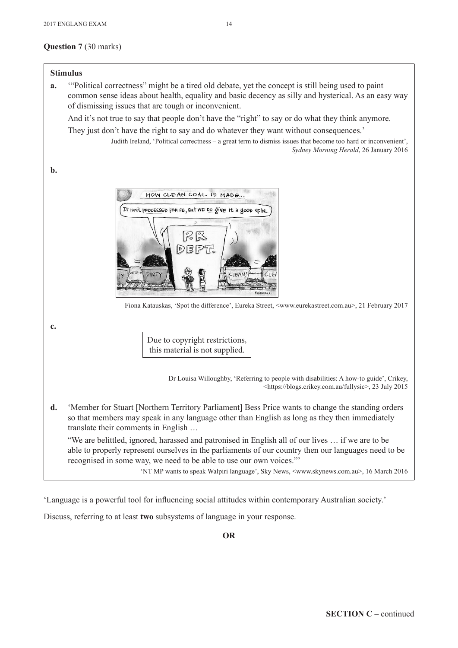#### **Question 7** (30 marks)



'Language is a powerful tool for influencing social attitudes within contemporary Australian society.'

Discuss, referring to at least **two** subsystems of language in your response.

**OR**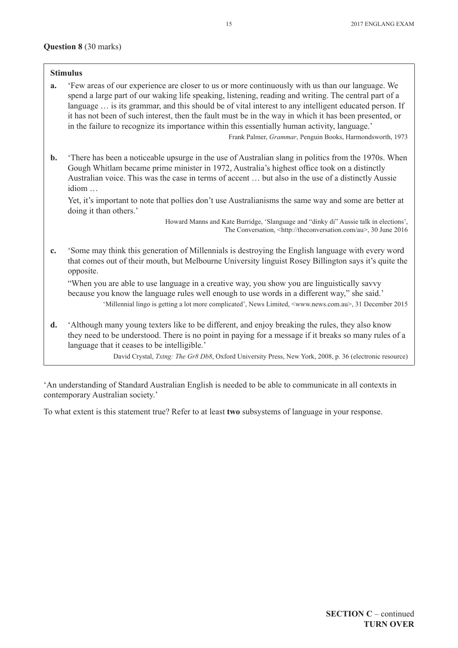#### **Question 8** (30 marks)

#### **Stimulus**

**a.** 'Few areas of our experience are closer to us or more continuously with us than our language. We spend a large part of our waking life speaking, listening, reading and writing. The central part of a language ... is its grammar, and this should be of vital interest to any intelligent educated person. If it has not been of such interest, then the fault must be in the way in which it has been presented, or in the failure to recognize its importance within this essentially human activity, language.'

Frank Palmer, *Grammar*, Penguin Books, Harmondsworth, 1973

**b.** 'There has been a noticeable upsurge in the use of Australian slang in politics from the 1970s. When Gough Whitlam became prime minister in 1972, Australia's highest office took on a distinctly Australian voice. This was the case in terms of accent … but also in the use of a distinctly Aussie idiom …

 Yet, it's important to note that pollies don't use Australianisms the same way and some are better at doing it than others.'

> Howard Manns and Kate Burridge, 'Slanguage and "dinky di" Aussie talk in elections', The Conversation, <http://theconversation.com/au>, 30 June 2016

**c.** 'Some may think this generation of Millennials is destroying the English language with every word that comes out of their mouth, but Melbourne University linguist Rosey Billington says it's quite the opposite.

"When you are able to use language in a creative way, you show you are linguistically savvy because you know the language rules well enough to use words in a different way," she said.' 'Millennial lingo is getting a lot more complicated', News Limited, <www.news.com.au>, 31 December 2015

**d.** 'Although many young texters like to be different, and enjoy breaking the rules, they also know they need to be understood. There is no point in paying for a message if it breaks so many rules of a language that it ceases to be intelligible.'

David Crystal, *Txtng: The Gr8 Db8*, Oxford University Press, New York, 2008, p. 36 (electronic resource)

'An understanding of Standard Australian English is needed to be able to communicate in all contexts in contemporary Australian society.'

To what extent is this statement true? Refer to at least **two** subsystems of language in your response.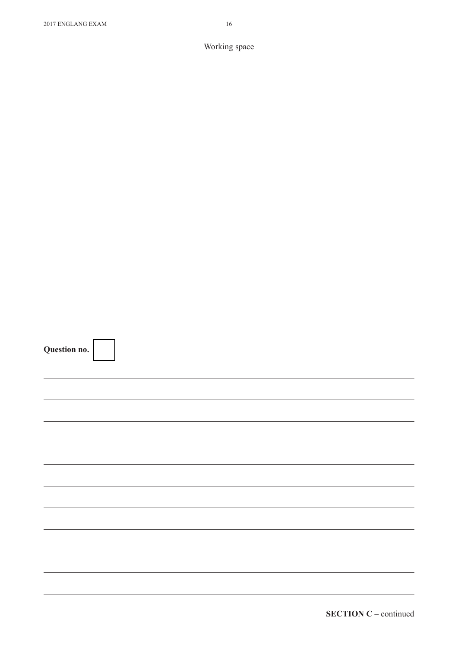| Question no. |  |
|--------------|--|
|              |  |

| Question no. |  |  |  |
|--------------|--|--|--|
|              |  |  |  |
|              |  |  |  |
|              |  |  |  |
|              |  |  |  |
|              |  |  |  |
|              |  |  |  |
|              |  |  |  |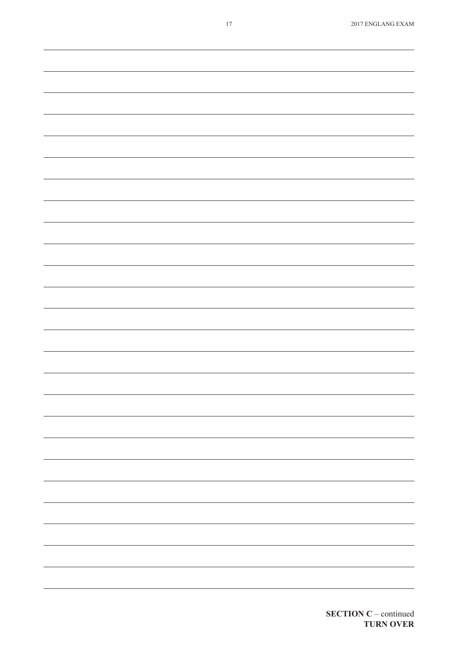| -                        |
|--------------------------|
|                          |
|                          |
|                          |
|                          |
|                          |
| $\overline{\phantom{0}}$ |
|                          |
|                          |
|                          |
|                          |
|                          |
| ÷,                       |
|                          |
|                          |
|                          |
|                          |
|                          |
| ÷,                       |
|                          |
|                          |
|                          |
|                          |
|                          |
|                          |
|                          |
|                          |
|                          |
| -                        |
|                          |
| -                        |
|                          |
|                          |
|                          |
| $\overline{\phantom{0}}$ |
|                          |
|                          |
|                          |
|                          |
|                          |
| $\equiv$                 |
|                          |
|                          |
|                          |
|                          |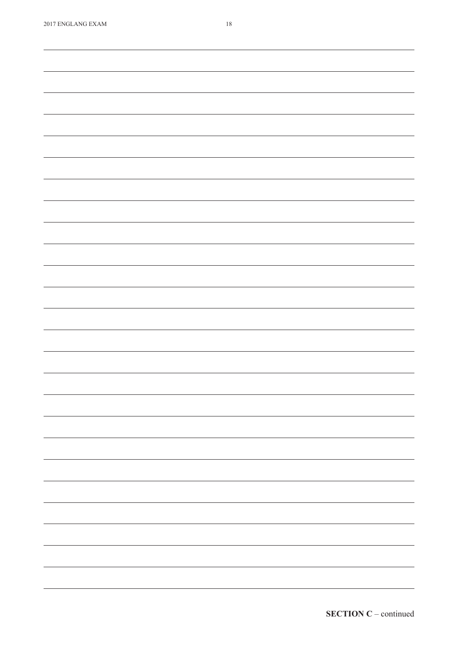| <b>2017 EINULAINU LAAIM</b> | 10                                                                                                                                                                                                                                                                                                                                                                                                                                                                         |
|-----------------------------|----------------------------------------------------------------------------------------------------------------------------------------------------------------------------------------------------------------------------------------------------------------------------------------------------------------------------------------------------------------------------------------------------------------------------------------------------------------------------|
|                             |                                                                                                                                                                                                                                                                                                                                                                                                                                                                            |
|                             |                                                                                                                                                                                                                                                                                                                                                                                                                                                                            |
|                             |                                                                                                                                                                                                                                                                                                                                                                                                                                                                            |
|                             |                                                                                                                                                                                                                                                                                                                                                                                                                                                                            |
|                             |                                                                                                                                                                                                                                                                                                                                                                                                                                                                            |
|                             |                                                                                                                                                                                                                                                                                                                                                                                                                                                                            |
|                             |                                                                                                                                                                                                                                                                                                                                                                                                                                                                            |
|                             |                                                                                                                                                                                                                                                                                                                                                                                                                                                                            |
|                             |                                                                                                                                                                                                                                                                                                                                                                                                                                                                            |
|                             |                                                                                                                                                                                                                                                                                                                                                                                                                                                                            |
|                             |                                                                                                                                                                                                                                                                                                                                                                                                                                                                            |
|                             |                                                                                                                                                                                                                                                                                                                                                                                                                                                                            |
|                             |                                                                                                                                                                                                                                                                                                                                                                                                                                                                            |
|                             |                                                                                                                                                                                                                                                                                                                                                                                                                                                                            |
|                             |                                                                                                                                                                                                                                                                                                                                                                                                                                                                            |
|                             |                                                                                                                                                                                                                                                                                                                                                                                                                                                                            |
|                             |                                                                                                                                                                                                                                                                                                                                                                                                                                                                            |
|                             |                                                                                                                                                                                                                                                                                                                                                                                                                                                                            |
|                             |                                                                                                                                                                                                                                                                                                                                                                                                                                                                            |
|                             |                                                                                                                                                                                                                                                                                                                                                                                                                                                                            |
|                             |                                                                                                                                                                                                                                                                                                                                                                                                                                                                            |
|                             |                                                                                                                                                                                                                                                                                                                                                                                                                                                                            |
|                             |                                                                                                                                                                                                                                                                                                                                                                                                                                                                            |
|                             |                                                                                                                                                                                                                                                                                                                                                                                                                                                                            |
|                             |                                                                                                                                                                                                                                                                                                                                                                                                                                                                            |
|                             |                                                                                                                                                                                                                                                                                                                                                                                                                                                                            |
|                             |                                                                                                                                                                                                                                                                                                                                                                                                                                                                            |
|                             |                                                                                                                                                                                                                                                                                                                                                                                                                                                                            |
|                             |                                                                                                                                                                                                                                                                                                                                                                                                                                                                            |
|                             |                                                                                                                                                                                                                                                                                                                                                                                                                                                                            |
|                             |                                                                                                                                                                                                                                                                                                                                                                                                                                                                            |
|                             |                                                                                                                                                                                                                                                                                                                                                                                                                                                                            |
|                             |                                                                                                                                                                                                                                                                                                                                                                                                                                                                            |
|                             | $\overline{\phantom{0}}$                                                                                                                                                                                                                                                                                                                                                                                                                                                   |
|                             |                                                                                                                                                                                                                                                                                                                                                                                                                                                                            |
|                             |                                                                                                                                                                                                                                                                                                                                                                                                                                                                            |
|                             |                                                                                                                                                                                                                                                                                                                                                                                                                                                                            |
|                             | $\frac{1}{2} \left( \frac{1}{2} \right) \left( \frac{1}{2} \right) \left( \frac{1}{2} \right) \left( \frac{1}{2} \right) \left( \frac{1}{2} \right) \left( \frac{1}{2} \right) \left( \frac{1}{2} \right) \left( \frac{1}{2} \right) \left( \frac{1}{2} \right) \left( \frac{1}{2} \right) \left( \frac{1}{2} \right) \left( \frac{1}{2} \right) \left( \frac{1}{2} \right) \left( \frac{1}{2} \right) \left( \frac{1}{2} \right) \left( \frac{1}{2} \right) \left( \frac$ |
|                             |                                                                                                                                                                                                                                                                                                                                                                                                                                                                            |
|                             | -                                                                                                                                                                                                                                                                                                                                                                                                                                                                          |
|                             |                                                                                                                                                                                                                                                                                                                                                                                                                                                                            |
|                             |                                                                                                                                                                                                                                                                                                                                                                                                                                                                            |
|                             |                                                                                                                                                                                                                                                                                                                                                                                                                                                                            |
|                             |                                                                                                                                                                                                                                                                                                                                                                                                                                                                            |
|                             |                                                                                                                                                                                                                                                                                                                                                                                                                                                                            |
|                             |                                                                                                                                                                                                                                                                                                                                                                                                                                                                            |
|                             |                                                                                                                                                                                                                                                                                                                                                                                                                                                                            |
|                             |                                                                                                                                                                                                                                                                                                                                                                                                                                                                            |
|                             |                                                                                                                                                                                                                                                                                                                                                                                                                                                                            |

**SECTION C** – continued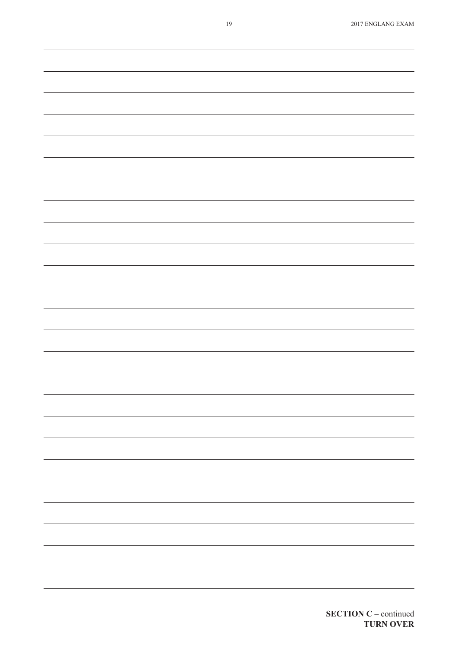| 19 | 2017 ENGLANG EXAM        |
|----|--------------------------|
|    |                          |
|    |                          |
|    |                          |
|    |                          |
|    |                          |
|    |                          |
|    |                          |
|    |                          |
|    |                          |
|    |                          |
|    |                          |
|    |                          |
|    |                          |
|    |                          |
|    |                          |
|    |                          |
|    |                          |
|    |                          |
|    |                          |
|    |                          |
|    |                          |
|    |                          |
|    |                          |
|    |                          |
|    |                          |
|    |                          |
|    |                          |
|    |                          |
|    |                          |
|    |                          |
|    |                          |
|    |                          |
|    |                          |
|    |                          |
|    |                          |
|    |                          |
|    |                          |
|    |                          |
|    |                          |
|    |                          |
|    | $\overline{\phantom{0}}$ |
|    |                          |
|    | $\overline{\phantom{0}}$ |
|    |                          |
|    |                          |
|    |                          |
|    |                          |
|    | $\overline{\phantom{0}}$ |
|    |                          |
|    | $\overline{\phantom{0}}$ |
|    |                          |
|    |                          |
|    | $\overline{\phantom{a}}$ |
|    |                          |
|    | $\overline{\phantom{0}}$ |
|    |                          |
|    |                          |
|    |                          |
|    |                          |
|    |                          |
|    |                          |
|    |                          |
|    |                          |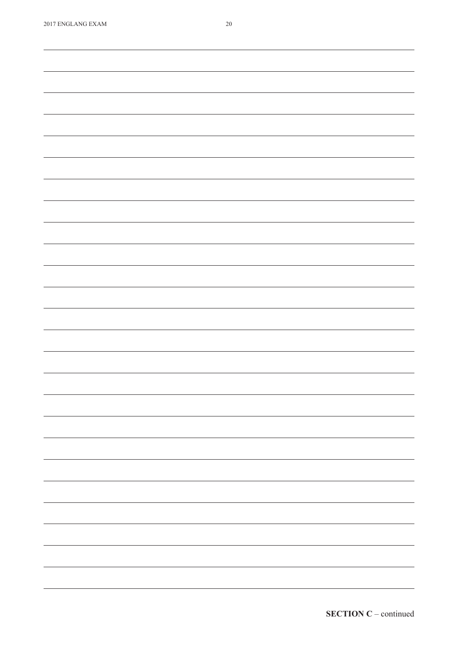| <b><i>LOTA ENGLAND EARM</i></b> | $\angle U$ |
|---------------------------------|------------|
|                                 |            |
|                                 |            |
|                                 |            |
|                                 |            |
|                                 |            |
|                                 |            |
|                                 |            |
|                                 |            |
|                                 |            |
|                                 |            |
|                                 |            |
|                                 |            |
|                                 |            |
|                                 |            |
|                                 |            |
|                                 |            |
|                                 |            |
|                                 |            |
|                                 |            |
|                                 |            |
|                                 |            |
|                                 |            |
|                                 |            |
|                                 |            |
|                                 |            |
|                                 |            |
|                                 |            |
|                                 |            |
|                                 |            |
|                                 |            |
|                                 |            |
|                                 |            |
|                                 |            |
|                                 |            |
|                                 |            |
|                                 |            |
|                                 |            |
|                                 |            |
|                                 |            |
|                                 |            |
|                                 |            |
|                                 |            |
|                                 |            |
|                                 |            |
|                                 |            |
|                                 |            |
|                                 |            |
|                                 |            |
|                                 |            |
|                                 |            |
|                                 |            |
|                                 |            |
|                                 |            |
|                                 |            |
|                                 |            |
|                                 |            |
|                                 |            |
|                                 |            |
|                                 |            |
|                                 |            |
|                                 |            |
|                                 |            |
|                                 |            |
|                                 |            |
|                                 |            |
|                                 |            |
|                                 |            |
|                                 |            |
|                                 |            |
|                                 |            |
|                                 |            |
|                                 |            |
|                                 |            |
|                                 |            |
|                                 |            |
|                                 |            |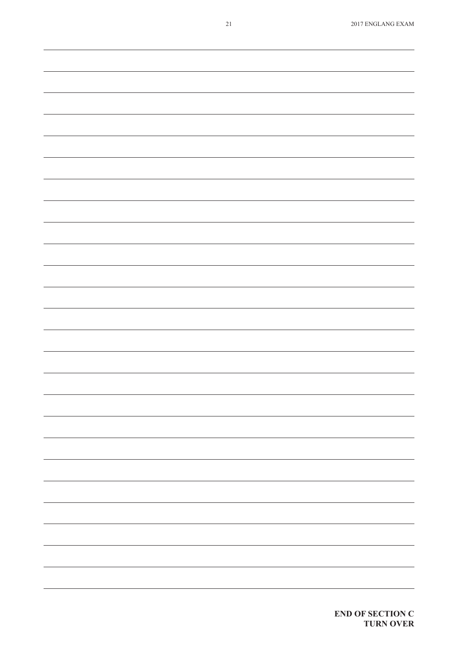| $21\,$ | 2017 ENGLANG EXAM        |
|--------|--------------------------|
|        |                          |
|        |                          |
|        |                          |
|        |                          |
|        |                          |
|        |                          |
|        |                          |
|        |                          |
|        |                          |
|        |                          |
|        |                          |
|        |                          |
|        |                          |
|        |                          |
|        |                          |
|        |                          |
|        |                          |
|        |                          |
|        |                          |
|        |                          |
|        |                          |
|        |                          |
|        |                          |
|        |                          |
|        |                          |
|        |                          |
|        |                          |
|        |                          |
|        |                          |
|        |                          |
|        |                          |
|        |                          |
|        |                          |
|        |                          |
|        |                          |
|        |                          |
|        | ÷.                       |
|        |                          |
|        |                          |
|        |                          |
|        | $\sim$ $\sim$            |
|        |                          |
|        | -                        |
|        |                          |
|        |                          |
|        |                          |
|        |                          |
|        | $\overline{\phantom{a}}$ |
|        |                          |
|        |                          |
|        |                          |
|        |                          |
|        |                          |
|        | $\overline{\phantom{0}}$ |
|        |                          |
|        |                          |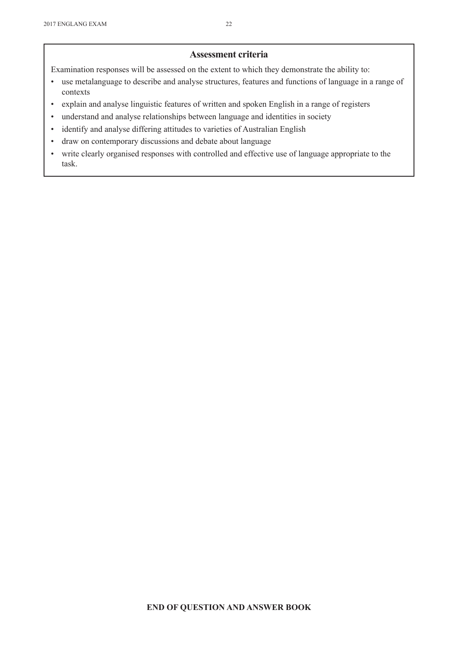#### **Assessment criteria**

Examination responses will be assessed on the extent to which they demonstrate the ability to:

- use metalanguage to describe and analyse structures, features and functions of language in a range of contexts
- • explain and analyse linguistic features of written and spoken English in a range of registers
- • understand and analyse relationships between language and identities in society
- • identify and analyse differing attitudes to varieties of Australian English
- draw on contemporary discussions and debate about language
- • write clearly organised responses with controlled and effective use of language appropriate to the task.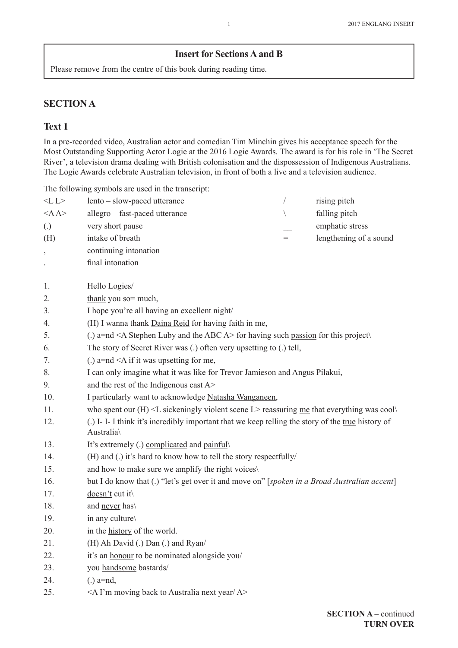#### **Insert for Sections A and B**

Please remove from the centre of this book during reading time.

## **SECTION A**

## **Text 1**

In a pre-recorded video, Australian actor and comedian Tim Minchin gives his acceptance speech for the Most Outstanding Supporting Actor Logie at the 2016 Logie Awards. The award is for his role in 'The Secret River', a television drama dealing with British colonisation and the dispossession of Indigenous Australians. The Logie Awards celebrate Australian television, in front of both a live and a television audience.

The following symbols are used in the transcript:

| $<$ L $>$                | lento - slow-paced utterance                                                                                 | $\sqrt{2}$  | rising pitch           |  |  |
|--------------------------|--------------------------------------------------------------------------------------------------------------|-------------|------------------------|--|--|
| $<$ A $A$                | allegro - fast-paced utterance                                                                               | $\setminus$ | falling pitch          |  |  |
| $\left( .\right)$        | very short pause                                                                                             |             | emphatic stress        |  |  |
| (H)                      | intake of breath                                                                                             | $=$         | lengthening of a sound |  |  |
| $\overline{\phantom{a}}$ | continuing intonation                                                                                        |             |                        |  |  |
|                          | final intonation                                                                                             |             |                        |  |  |
|                          |                                                                                                              |             |                        |  |  |
| 1.                       | Hello Logies/                                                                                                |             |                        |  |  |
| 2.                       | thank you so= much,                                                                                          |             |                        |  |  |
| 3.                       | I hope you're all having an excellent night/                                                                 |             |                        |  |  |
| 4.                       | (H) I wanna thank Daina Reid for having faith in me,                                                         |             |                        |  |  |
| 5.                       | (.) a=nd <a a="" abc="" and="" luby="" stephen="" the=""> for having such passion for this project</a>       |             |                        |  |  |
| 6.                       | The story of Secret River was (.) often very upsetting to (.) tell,                                          |             |                        |  |  |
| 7.                       | (.) $a=nd \leq A$ if it was upsetting for me,                                                                |             |                        |  |  |
| 8.                       | I can only imagine what it was like for Trevor Jamieson and Angus Pilakui,                                   |             |                        |  |  |
| 9.                       | and the rest of the Indigenous cast A>                                                                       |             |                        |  |  |
| 10.                      | I particularly want to acknowledge Natasha Wanganeen,                                                        |             |                        |  |  |
| 11.                      | who spent our $(H) \le L$ sickeningly violent scene L> reassuring me that everything was cool                |             |                        |  |  |
| 12.                      | (.) I-I-I think it's incredibly important that we keep telling the story of the true history of<br>Australia |             |                        |  |  |
| 13.                      | It's extremely (.) complicated and painful                                                                   |             |                        |  |  |
| 14.                      | (H) and (.) it's hard to know how to tell the story respectfully/                                            |             |                        |  |  |
| 15.                      | and how to make sure we amplify the right voices\                                                            |             |                        |  |  |
| 16.                      | but I do know that (.) "let's get over it and move on" [spoken in a Broad Australian accent]                 |             |                        |  |  |
| 17.                      | doesn't cut it                                                                                               |             |                        |  |  |
| 18.                      | and never has                                                                                                |             |                        |  |  |
| 19.                      | in any culture                                                                                               |             |                        |  |  |
| 20.                      | in the history of the world.                                                                                 |             |                        |  |  |
| 21.                      | (H) Ah David (.) Dan (.) and Ryan/                                                                           |             |                        |  |  |
| 22.                      | it's an honour to be nominated alongside you/                                                                |             |                        |  |  |
| 23.                      | you handsome bastards/                                                                                       |             |                        |  |  |
| 24.                      | $(.)$ a=nd,                                                                                                  |             |                        |  |  |
| 25.                      | <a a="" australia="" back="" i'm="" moving="" next="" to="" year=""></a>                                     |             |                        |  |  |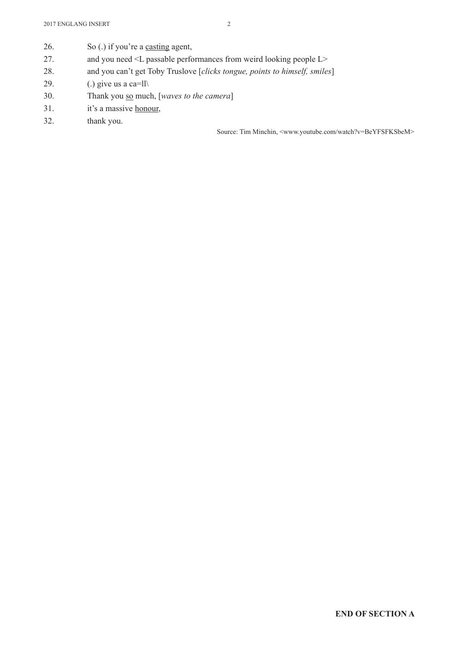- 26. So (.) if you're a casting agent,
- 27. and you need <L passable performances from weird looking people L>
- 28. and you can't get Toby Truslove [*clicks tongue, points to himself, smiles*]
- 29. (.) give us a ca=ll $\setminus$
- 30. Thank you so much, [*waves to the camera*]
- 31. it's a massive honour,
- 32. thank you.

Source: Tim Minchin, <www.youtube.com/watch?v=BeYFSFKSbeM>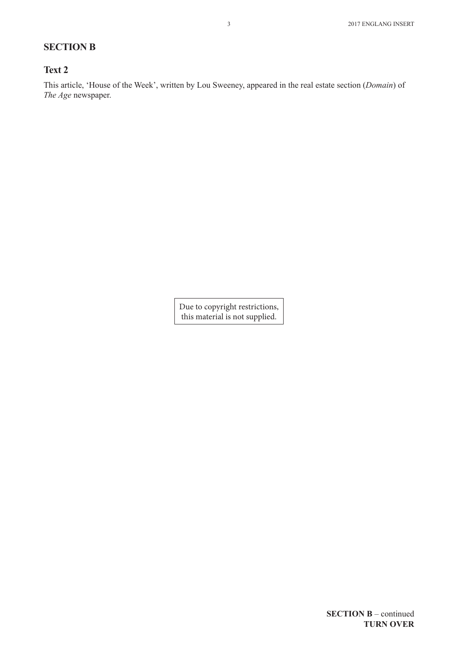## **SECTION B**

#### **Text 2**

This article, 'House of the Week', written by Lou Sweeney, appeared in the real estate section (*Domain*) of *The Age* newspaper.

> Due to copyright restrictions, this material is not supplied.